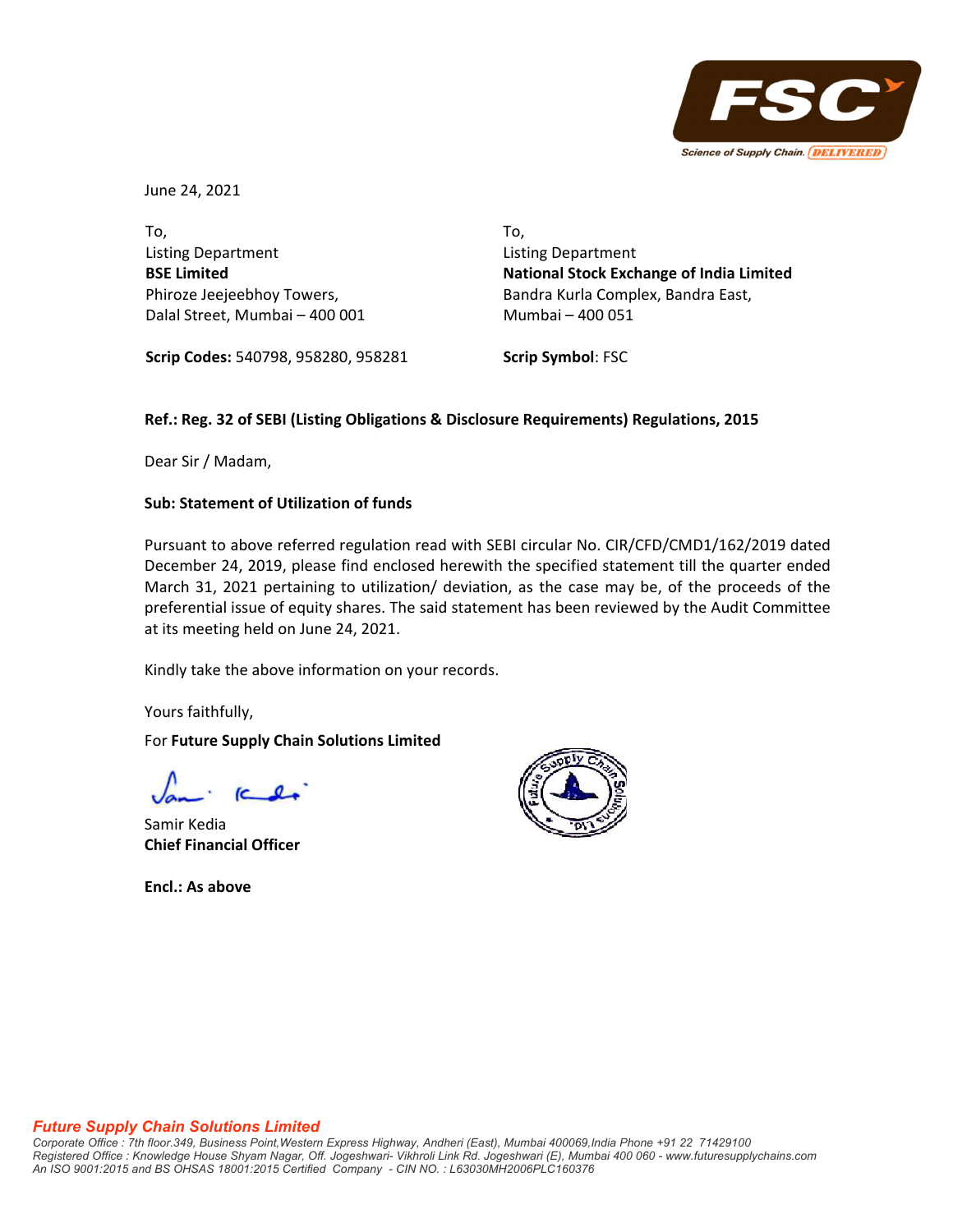

June 24, 2021

To, Listing Department **BSE Limited** Phiroze Jeejeebhoy Towers, Dalal Street, Mumbai – 400 001 To, Listing Department **National Stock Exchange of India Limited** Bandra Kurla Complex, Bandra East, Mumbai – 400 051

**Scrip Codes:** 540798, 958280, 958281

**Scrip Symbol**: FSC

## **Ref.: Reg. 32 of SEBI (Listing Obligations & Disclosure Requirements) Regulations, 2015**

Dear Sir / Madam,

### **Sub: Statement of Utilization of funds**

Pursuant to above referred regulation read with SEBI circular No. CIR/CFD/CMD1/162/2019 dated December 24, 2019, please find enclosed herewith the specified statement till the quarter ended March 31, 2021 pertaining to utilization/ deviation, as the case may be, of the proceeds of the preferential issue of equity shares. The said statement has been reviewed by the Audit Committee at its meeting held on June 24, 2021.

Kindly take the above information on your records.

Yours faithfully,

For **Future Supply Chain Solutions Limited**

Samir Kedia **Chief Financial Officer**

**Encl.: As above**



#### *Future Supply Chain Solutions Limited*